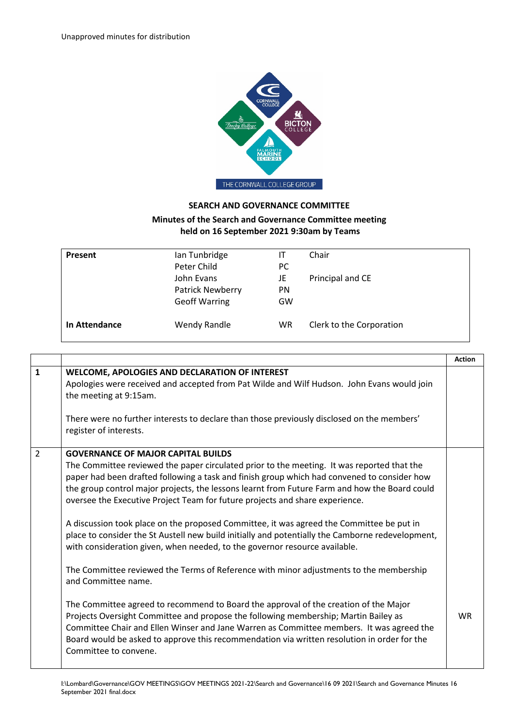

## **SEARCH AND GOVERNANCE COMMITTEE**

## **Minutes of the Search and Governance Committee meeting held on 16 September 2021 9:30am by Teams**

| Present       | Ian Tunbridge<br>Peter Child                                  | IT<br>PC.             | Chair                    |  |
|---------------|---------------------------------------------------------------|-----------------------|--------------------------|--|
|               | John Evans<br><b>Patrick Newberry</b><br><b>Geoff Warring</b> | JE<br><b>PN</b><br>GW | Principal and CE         |  |
| In Attendance | <b>Wendy Randle</b>                                           | WR                    | Clerk to the Corporation |  |

|                |                                                                                                                                                                                                                                                                                                                                                                                                                                                                                                                                                                                                                                                                                                                                                                                                                                                                                                                                                                                                                                                                                                                                                                                                                           | <b>Action</b> |
|----------------|---------------------------------------------------------------------------------------------------------------------------------------------------------------------------------------------------------------------------------------------------------------------------------------------------------------------------------------------------------------------------------------------------------------------------------------------------------------------------------------------------------------------------------------------------------------------------------------------------------------------------------------------------------------------------------------------------------------------------------------------------------------------------------------------------------------------------------------------------------------------------------------------------------------------------------------------------------------------------------------------------------------------------------------------------------------------------------------------------------------------------------------------------------------------------------------------------------------------------|---------------|
| $\mathbf{1}$   | <b>WELCOME, APOLOGIES AND DECLARATION OF INTEREST</b><br>Apologies were received and accepted from Pat Wilde and Wilf Hudson. John Evans would join<br>the meeting at 9:15am.<br>There were no further interests to declare than those previously disclosed on the members'<br>register of interests.                                                                                                                                                                                                                                                                                                                                                                                                                                                                                                                                                                                                                                                                                                                                                                                                                                                                                                                     |               |
| $\overline{2}$ | <b>GOVERNANCE OF MAJOR CAPITAL BUILDS</b><br>The Committee reviewed the paper circulated prior to the meeting. It was reported that the<br>paper had been drafted following a task and finish group which had convened to consider how<br>the group control major projects, the lessons learnt from Future Farm and how the Board could<br>oversee the Executive Project Team for future projects and share experience.<br>A discussion took place on the proposed Committee, it was agreed the Committee be put in<br>place to consider the St Austell new build initially and potentially the Camborne redevelopment,<br>with consideration given, when needed, to the governor resource available.<br>The Committee reviewed the Terms of Reference with minor adjustments to the membership<br>and Committee name.<br>The Committee agreed to recommend to Board the approval of the creation of the Major<br>Projects Oversight Committee and propose the following membership; Martin Bailey as<br>Committee Chair and Ellen Winser and Jane Warren as Committee members. It was agreed the<br>Board would be asked to approve this recommendation via written resolution in order for the<br>Committee to convene. | <b>WR</b>     |